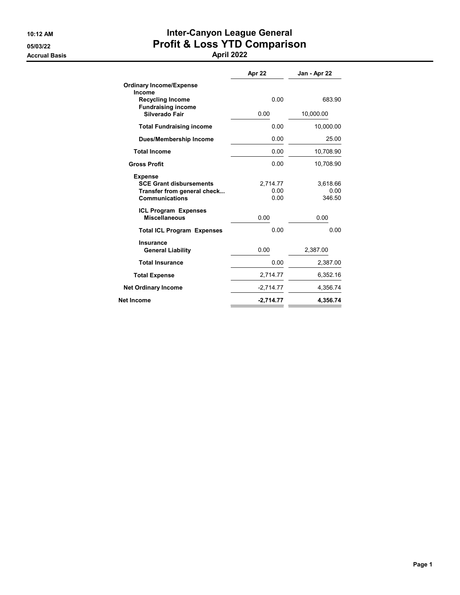Accrual Basis April 2022

## 10:12 AM **Inter-Canyon League General** 05/03/22 Profit & Loss YTD Comparison

|                                                                                                          | Apr 22                   | Jan - Apr 22               |
|----------------------------------------------------------------------------------------------------------|--------------------------|----------------------------|
| <b>Ordinary Income/Expense</b><br>Income                                                                 |                          |                            |
| <b>Recycling Income</b><br><b>Fundraising income</b>                                                     | 0.00                     | 683.90                     |
| Silverado Fair                                                                                           | 0.00                     | 10,000.00                  |
| <b>Total Fundraising income</b>                                                                          | 0.00                     | 10,000.00                  |
| <b>Dues/Membership Income</b>                                                                            | 0.00                     | 25.00                      |
| <b>Total Income</b>                                                                                      | 0.00                     | 10,708.90                  |
| <b>Gross Profit</b>                                                                                      | 0.00                     | 10,708.90                  |
| <b>Expense</b><br><b>SCE Grant disbursements</b><br>Transfer from general check<br><b>Communications</b> | 2,714.77<br>0.00<br>0.00 | 3,618.66<br>0.00<br>346.50 |
| <b>ICL Program Expenses</b><br><b>Miscellaneous</b>                                                      | 0.00                     | 0.00                       |
| <b>Total ICL Program Expenses</b>                                                                        | 0.00                     | 0.00                       |
| <b>Insurance</b><br><b>General Liability</b>                                                             | 0.00                     | 2,387.00                   |
| <b>Total Insurance</b>                                                                                   | 0.00                     | 2,387.00                   |
| <b>Total Expense</b>                                                                                     | 2,714.77                 | 6,352.16                   |
| <b>Net Ordinary Income</b>                                                                               | $-2,714.77$              | 4,356.74                   |
| <b>Net Income</b>                                                                                        | $-2,714.77$              | 4,356.74                   |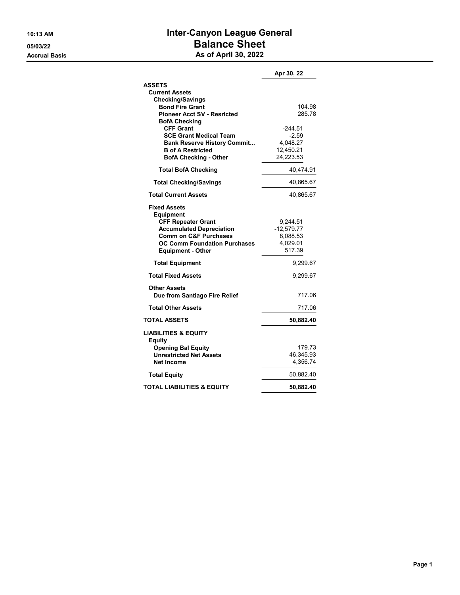## 10:13 AM **Inter-Canyon League General** 05/03/22 Balance Sheet Accrual Basis **Accrual Basis** As of April 30, 2022

|                                                                     | Apr 30, 22           |
|---------------------------------------------------------------------|----------------------|
| <b>ASSETS</b>                                                       |                      |
| <b>Current Assets</b>                                               |                      |
| <b>Checking/Savings</b>                                             |                      |
| <b>Bond Fire Grant</b>                                              | 104.98               |
| <b>Pioneer Acct SV - Resricted</b>                                  | 285.78               |
| <b>BofA Checking</b>                                                |                      |
| <b>CFF Grant</b>                                                    | $-244.51$<br>$-2.59$ |
| <b>SCE Grant Medical Team</b><br><b>Bank Reserve History Commit</b> | 4.048.27             |
| <b>B</b> of A Restricted                                            | 12,450.21            |
| <b>BofA Checking - Other</b>                                        | 24,223.53            |
| <b>Total BofA Checking</b>                                          | 40,474.91            |
|                                                                     |                      |
| <b>Total Checking/Savings</b>                                       | 40,865.67            |
| <b>Total Current Assets</b>                                         | 40,865.67            |
| <b>Fixed Assets</b>                                                 |                      |
| <b>Equipment</b>                                                    |                      |
| <b>CFF Repeater Grant</b>                                           | 9,244.51             |
| <b>Accumulated Depreciation</b><br><b>Comm on C&amp;F Purchases</b> | $-12,579.77$         |
| <b>OC Comm Foundation Purchases</b>                                 | 8,088.53<br>4,029.01 |
| <b>Equipment - Other</b>                                            | 517.39               |
|                                                                     |                      |
| <b>Total Equipment</b>                                              | 9,299.67             |
| <b>Total Fixed Assets</b>                                           | 9,299.67             |
| <b>Other Assets</b>                                                 |                      |
| Due from Santiago Fire Relief                                       | 717.06               |
| <b>Total Other Assets</b>                                           | 717.06               |
| <b>TOTAL ASSETS</b>                                                 | 50,882.40            |
| <b>LIABILITIES &amp; EQUITY</b>                                     |                      |
| <b>Equity</b>                                                       |                      |
| <b>Opening Bal Equity</b><br><b>Unrestricted Net Assets</b>         | 179.73<br>46,345.93  |
| <b>Net Income</b>                                                   | 4,356.74             |
|                                                                     |                      |
| <b>Total Equity</b>                                                 | 50,882.40            |
| <b>TOTAL LIABILITIES &amp; EQUITY</b>                               | 50,882.40            |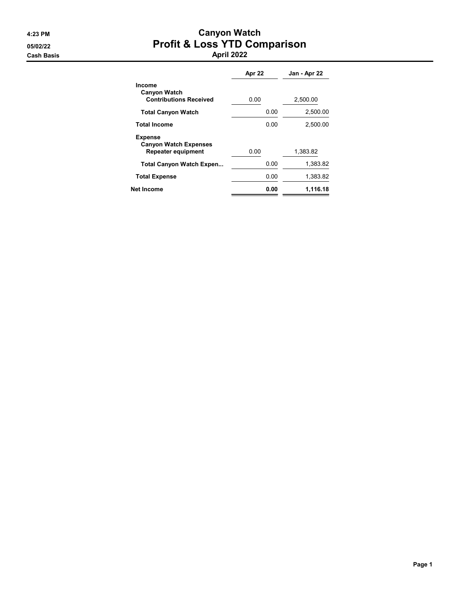## 4:23 PM Canyon Watch 05/02/22 Profit & Loss YTD Comparison Cash Basis April 2022

|                                                                      | Apr 22 |      | Jan - Apr 22 |
|----------------------------------------------------------------------|--------|------|--------------|
| Income<br><b>Canyon Watch</b><br><b>Contributions Received</b>       | 0.00   |      | 2,500.00     |
| <b>Total Canyon Watch</b>                                            |        | 0.00 | 2,500.00     |
| <b>Total Income</b>                                                  |        | 0.00 | 2.500.00     |
| <b>Expense</b><br><b>Canyon Watch Expenses</b><br>Repeater equipment | 0.00   |      | 1,383.82     |
| <b>Total Canyon Watch Expen</b>                                      |        | 0.00 | 1.383.82     |
| <b>Total Expense</b>                                                 |        | 0.00 | 1,383.82     |
| <b>Net Income</b>                                                    |        | 0.00 | 1,116.18     |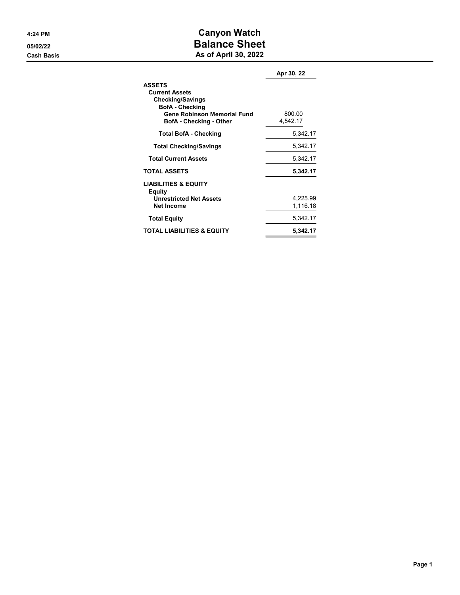## 4:24 PM Canyon Watch 05/02/22 **Balance Sheet Cash Basis** Cash Basis **As of April 30, 2022**

|                                                                                                                                   | Apr 30, 22 |
|-----------------------------------------------------------------------------------------------------------------------------------|------------|
| <b>ASSETS</b><br><b>Current Assets</b><br><b>Checking/Savings</b><br><b>BofA</b> - Checking<br><b>Gene Robinson Memorial Fund</b> | 800.00     |
| <b>BofA</b> - Checking - Other                                                                                                    | 4,542.17   |
| <b>Total BofA - Checking</b>                                                                                                      | 5,342.17   |
| <b>Total Checking/Savings</b>                                                                                                     | 5,342.17   |
| <b>Total Current Assets</b>                                                                                                       | 5,342.17   |
| <b>TOTAL ASSETS</b>                                                                                                               | 5,342.17   |
| <b>LIABILITIES &amp; EQUITY</b><br>Equity<br><b>Unrestricted Net Assets</b>                                                       | 4,225.99   |
| <b>Net Income</b>                                                                                                                 | 1,116.18   |
| <b>Total Equity</b>                                                                                                               | 5,342.17   |
| <b>TOTAL LIABILITIES &amp; EQUITY</b>                                                                                             | 5.342.17   |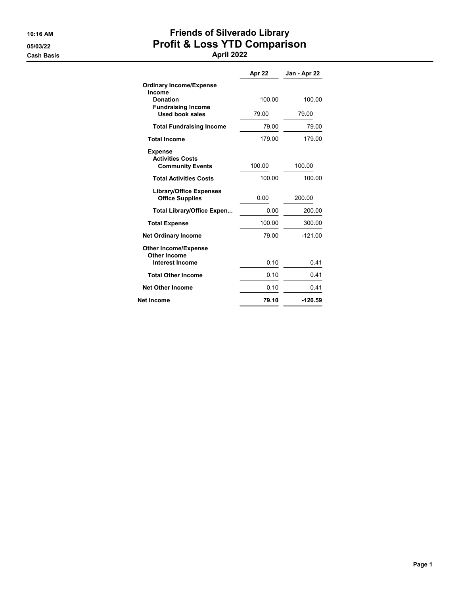Cash Basis April 2022

# 10:16 AM Friends of Silverado Library 05/03/22 Profit & Loss YTD Comparison

|                                                          | Apr 22 | Jan - Apr 22 |
|----------------------------------------------------------|--------|--------------|
| <b>Ordinary Income/Expense</b><br>Income                 |        |              |
| <b>Donation</b><br><b>Fundraising Income</b>             | 100.00 | 100.00       |
| <b>Used book sales</b>                                   | 79.00  | 79.00        |
| <b>Total Fundraising Income</b>                          | 79.00  | 79.00        |
| <b>Total Income</b>                                      | 179.00 | 179.00       |
| <b>Expense</b><br><b>Activities Costs</b>                |        |              |
| <b>Community Events</b>                                  | 100.00 | 100.00       |
| <b>Total Activities Costs</b>                            | 100.00 | 100.00       |
| <b>Library/Office Expenses</b><br><b>Office Supplies</b> | 0.00   | 200.00       |
| <b>Total Library/Office Expen</b>                        | 0.00   | 200.00       |
| <b>Total Expense</b>                                     | 100.00 | 300.00       |
| <b>Net Ordinary Income</b>                               | 79.00  | $-121.00$    |
| <b>Other Income/Expense</b>                              |        |              |
| Other Income<br><b>Interest Income</b>                   | 0.10   | 0.41         |
| <b>Total Other Income</b>                                | 0.10   | 0.41         |
| <b>Net Other Income</b>                                  | 0.10   | 0.41         |
| <b>Net Income</b>                                        | 79.10  | $-120.59$    |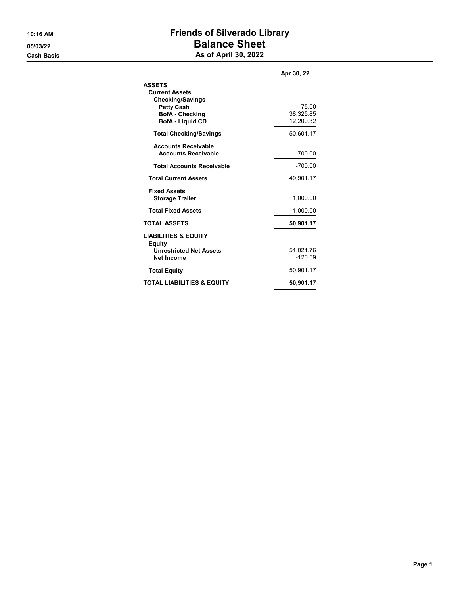## 10:16 AM Friends of Silverado Library 05/03/22 **Balance Sheet Cash Basis** Cash Basis **As of April 30, 2022**

|                                                                                                                                             | Apr 30, 22                      |
|---------------------------------------------------------------------------------------------------------------------------------------------|---------------------------------|
| <b>ASSETS</b><br><b>Current Assets</b><br><b>Checking/Savings</b><br><b>Petty Cash</b><br><b>BofA</b> - Checking<br><b>BofA</b> - Liquid CD | 75.00<br>38,325.85<br>12,200.32 |
| <b>Total Checking/Savings</b>                                                                                                               | 50,601.17                       |
| <b>Accounts Receivable</b><br><b>Accounts Receivable</b>                                                                                    | -700.00                         |
| <b>Total Accounts Receivable</b>                                                                                                            | $-700.00$                       |
| <b>Total Current Assets</b>                                                                                                                 | 49,901.17                       |
| <b>Fixed Assets</b><br><b>Storage Trailer</b>                                                                                               | 1,000.00                        |
| <b>Total Fixed Assets</b>                                                                                                                   | 1,000.00                        |
| <b>TOTAL ASSETS</b>                                                                                                                         | 50,901.17                       |
| <b>LIABILITIES &amp; EQUITY</b><br><b>Equity</b><br><b>Unrestricted Net Assets</b><br><b>Net Income</b>                                     | 51,021.76<br>$-120.59$          |
| <b>Total Equity</b>                                                                                                                         | 50,901.17                       |
| <b>TOTAL LIABILITIES &amp; EQUITY</b>                                                                                                       | 50,901.17                       |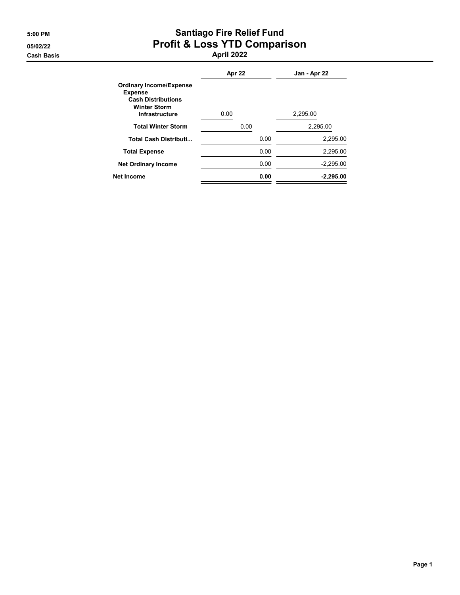## 5:00 PM Santiago Fire Relief Fund 05/02/22 Profit & Loss YTD Comparison Cash Basis April 2022

|                                                                                                                               | Apr 22 | Jan - Apr 22 |
|-------------------------------------------------------------------------------------------------------------------------------|--------|--------------|
| <b>Ordinary Income/Expense</b><br><b>Expense</b><br><b>Cash Distributions</b><br><b>Winter Storm</b><br><b>Infrastructure</b> | 0.00   | 2,295.00     |
| <b>Total Winter Storm</b>                                                                                                     | 0.00   | 2,295.00     |
| <b>Total Cash Distributi</b>                                                                                                  | 0.00   | 2,295.00     |
| <b>Total Expense</b>                                                                                                          | 0.00   | 2.295.00     |
| <b>Net Ordinary Income</b>                                                                                                    | 0.00   | $-2,295.00$  |
| Net Income                                                                                                                    | 0.00   | $-2.295.00$  |